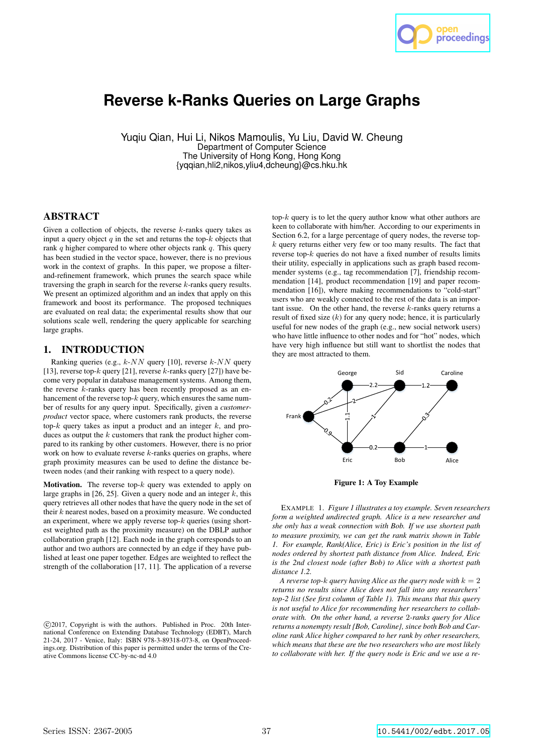

# **Reverse k-Ranks Queries on Large Graphs**

Yuqiu Qian, Hui Li, Nikos Mamoulis, Yu Liu, David W. Cheung Department of Computer Science The University of Hong Kong, Hong Kong {yqqian,hli2,nikos,yliu4,dcheung}@cs.hku.hk

# ABSTRACT

Given a collection of objects, the reverse  $k$ -ranks query takes as input a query object  $q$  in the set and returns the top- $k$  objects that rank  $q$  higher compared to where other objects rank  $q$ . This query has been studied in the vector space, however, there is no previous work in the context of graphs. In this paper, we propose a filterand-refinement framework, which prunes the search space while traversing the graph in search for the reverse k-ranks query results. We present an optimized algorithm and an index that apply on this framework and boost its performance. The proposed techniques are evaluated on real data; the experimental results show that our solutions scale well, rendering the query applicable for searching large graphs.

# 1. INTRODUCTION

Ranking queries (e.g.,  $k$ - $NN$  query [10], reverse  $k$ - $NN$  query [13], reverse top-k query [21], reverse k-ranks query [27]) have become very popular in database management systems. Among them, the reverse  $k$ -ranks query has been recently proposed as an enhancement of the reverse top-k query, which ensures the same number of results for any query input. Specifically, given a *customerproduct* vector space, where customers rank products, the reverse top- $k$  query takes as input a product and an integer  $k$ , and produces as output the  $k$  customers that rank the product higher compared to its ranking by other customers. However, there is no prior work on how to evaluate reverse  $k$ -ranks queries on graphs, where graph proximity measures can be used to define the distance between nodes (and their ranking with respect to a query node).

**Motivation.** The reverse top- $k$  query was extended to apply on large graphs in  $[26, 25]$ . Given a query node and an integer  $k$ , this query retrieves all other nodes that have the query node in the set of their  $k$  nearest nodes, based on a proximity measure. We conducted an experiment, where we apply reverse top- $k$  queries (using shortest weighted path as the proximity measure) on the DBLP author collaboration graph [12]. Each node in the graph corresponds to an author and two authors are connected by an edge if they have published at least one paper together. Edges are weighted to reflect the strength of the collaboration [17, 11]. The application of a reverse top- $k$  query is to let the query author know what other authors are keen to collaborate with him/her. According to our experiments in Section 6.2, for a large percentage of query nodes, the reverse topk query returns either very few or too many results. The fact that reverse top-k queries do not have a fixed number of results limits their utility, especially in applications such as graph based recommender systems (e.g., tag recommendation [7], friendship recommendation [14], product recommendation [19] and paper recommendation [16]), where making recommendations to "cold-start" users who are weakly connected to the rest of the data is an important issue. On the other hand, the reverse  $k$ -ranks query returns a result of fixed size  $(k)$  for any query node; hence, it is particularly useful for new nodes of the graph (e.g., new social network users) who have little influence to other nodes and for "hot" nodes, which have very high influence but still want to shortlist the nodes that they are most attracted to them.



Figure 1: A Toy Example

EXAMPLE 1. *Figure 1 illustrates a toy example. Seven researchers form a weighted undirected graph. Alice is a new researcher and she only has a weak connection with Bob. If we use shortest path to measure proximity, we can get the rank matrix shown in Table 1. For example, Rank(Alice, Eric) is Eric's position in the list of nodes ordered by shortest path distance from Alice. Indeed, Eric is the 2nd closest node (after Bob) to Alice with a shortest path distance 1.2.*

*A reverse top-k query having Alice as the query node with*  $k = 2$ *returns no results since Alice does not fall into any researchers' top-2 list (See first column of Table 1). This means that this query is not useful to Alice for recommending her researchers to collaborate with. On the other hand, a reverse* 2*-ranks query for Alice returns a nonempty result {Bob, Caroline}, since both Bob and Caroline rank Alice higher compared to her rank by other researchers, which means that these are the two researchers who are most likely to collaborate with her. If the query node is Eric and we use a re-*

c 2017, Copyright is with the authors. Published in Proc. 20th International Conference on Extending Database Technology (EDBT), March 21-24, 2017 - Venice, Italy: ISBN 978-3-89318-073-8, on OpenProceedings.org. Distribution of this paper is permitted under the terms of the Creative Commons license CC-by-nc-nd 4.0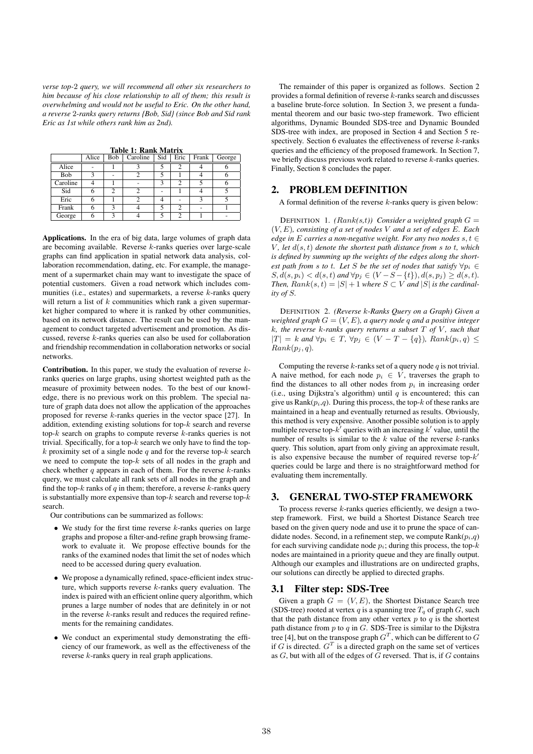*verse top-*2 *query, we will recommend all other six researchers to him because of his close relationship to all of them; this result is overwhelming and would not be useful to Eric. On the other hand, a reverse* 2*-ranks query returns {Bob, Sid} (since Bob and Sid rank Eric as 1st while others rank him as 2nd).*

|  | Table 1: Rank Matrix |
|--|----------------------|
|  |                      |

|          | Alice | Bob | Caroline | Sid | Eric          | Frank | George |
|----------|-------|-----|----------|-----|---------------|-------|--------|
| Alice    |       |     |          |     |               |       |        |
| Bob      |       |     |          |     |               |       |        |
| Caroline |       |     |          |     | $\mathcal{D}$ |       |        |
| Sid      |       |     |          |     |               |       |        |
| Eric     |       |     |          |     |               |       |        |
| Frank    |       |     |          |     | っ             |       |        |
| George   |       |     |          |     |               |       |        |

Applications. In the era of big data, large volumes of graph data are becoming available. Reverse k-ranks queries over large-scale graphs can find application in spatial network data analysis, collaboration recommendation, dating, etc. For example, the management of a supermarket chain may want to investigate the space of potential customers. Given a road network which includes communities (i.e., estates) and supermarkets, a reverse  $k$ -ranks query will return a list of  $k$  communities which rank a given supermarket higher compared to where it is ranked by other communities, based on its network distance. The result can be used by the management to conduct targeted advertisement and promotion. As discussed, reverse k-ranks queries can also be used for collaboration and friendship recommendation in collaboration networks or social networks.

**Contribution.** In this paper, we study the evaluation of reverse  $k$ ranks queries on large graphs, using shortest weighted path as the measure of proximity between nodes. To the best of our knowledge, there is no previous work on this problem. The special nature of graph data does not allow the application of the approaches proposed for reverse k-ranks queries in the vector space [27]. In addition, extending existing solutions for top- $k$  search and reverse top- $k$  search on graphs to compute reverse  $k$ -ranks queries is not trivial. Specifically, for a top- $k$  search we only have to find the top $k$  proximity set of a single node  $q$  and for the reverse top- $k$  search we need to compute the top- $k$  sets of all nodes in the graph and check whether  $q$  appears in each of them. For the reverse  $k$ -ranks query, we must calculate all rank sets of all nodes in the graph and find the top- $k$  ranks of  $q$  in them; therefore, a reverse  $k$ -ranks query is substantially more expensive than top- $k$  search and reverse top- $k$ search.

Our contributions can be summarized as follows:

- We study for the first time reverse  $k$ -ranks queries on large graphs and propose a filter-and-refine graph browsing framework to evaluate it. We propose effective bounds for the ranks of the examined nodes that limit the set of nodes which need to be accessed during query evaluation.
- We propose a dynamically refined, space-efficient index structure, which supports reverse  $k$ -ranks query evaluation. The index is paired with an efficient online query algorithm, which prunes a large number of nodes that are definitely in or not in the reverse  $k$ -ranks result and reduces the required refinements for the remaining candidates.
- We conduct an experimental study demonstrating the efficiency of our framework, as well as the effectiveness of the reverse k-ranks query in real graph applications.

The remainder of this paper is organized as follows. Section 2 provides a formal definition of reverse k-ranks search and discusses a baseline brute-force solution. In Section 3, we present a fundamental theorem and our basic two-step framework. Two efficient algorithms, Dynamic Bounded SDS-tree and Dynamic Bounded SDS-tree with index, are proposed in Section 4 and Section 5 respectively. Section 6 evaluates the effectiveness of reverse  $k$ -ranks queries and the efficiency of the proposed framework. In Section 7, we briefly discuss previous work related to reverse  $k$ -ranks queries. Finally, Section 8 concludes the paper.

#### 2. PROBLEM DEFINITION

A formal definition of the reverse  $k$ -ranks query is given below:

DEFINITION 1.  $(Rank(s,t))$  Consider a weighted graph  $G =$ (V, E)*, consisting of a set of nodes* V *and a set of edges* E*. Each edge in* E *carries a non-negative weight. For any two nodes*  $s, t \in$ V, let  $d(s, t)$  denote the shortest path distance from  $s$  to  $t$ , which *is defined by summing up the weights of the edges along the shortest path from s to t. Let* S *be the set of nodes that satisfy*  $\forall p_i \in$  $S, d(s, p_i) < d(s, t)$  and  $\forall p_j \in (V - S - \{t\}), d(s, p_j) \geq d(s, t)$ . *Then,*  $Rank(s,t) = |S| + 1$  *where*  $S \subset V$  *and*  $|S|$  *is the cardinality of* S*.*

DEFINITION 2. *(Reverse* k*-Ranks Query on a Graph) Given a weighted graph* G = (V, E)*, a query node* q *and a positive integer* k*, the reverse* k*-ranks query returns a subset* T *of* V *, such that*  $|T| = k$  and  $\forall p_i \in T$ ,  $\forall p_j \in (V - T - \{q\})$ *, Rank* $(p_i, q)$  <  $Rank(p_j, q)$ .

Computing the reverse  $k$ -ranks set of a query node  $q$  is not trivial. A naive method, for each node  $p_i \in V$ , traverses the graph to find the distances to all other nodes from  $p_i$  in increasing order (i.e., using Dijkstra's algorithm) until  $q$  is encountered; this can give us  $Rank(p_i,q)$ . During this process, the top-k of these ranks are maintained in a heap and eventually returned as results. Obviously, this method is very expensive. Another possible solution is to apply multiple reverse top- $k'$  queries with an increasing  $k'$  value, until the number of results is similar to the  $k$  value of the reverse  $k$ -ranks query. This solution, apart from only giving an approximate result, is also expensive because the number of required reverse top- $k'$ queries could be large and there is no straightforward method for evaluating them incrementally.

## 3. GENERAL TWO-STEP FRAMEWORK

To process reverse  $k$ -ranks queries efficiently, we design a twostep framework. First, we build a Shortest Distance Search tree based on the given query node and use it to prune the space of candidate nodes. Second, in a refinement step, we compute  $Rank(p_i,q)$ for each surviving candidate node  $p_i$ ; during this process, the top- $k$ nodes are maintained in a priority queue and they are finally output. Although our examples and illustrations are on undirected graphs, our solutions can directly be applied to directed graphs.

#### 3.1 Filter step: SDS-Tree

Given a graph  $G = (V, E)$ , the Shortest Distance Search tree (SDS-tree) rooted at vertex q is a spanning tree  $T_q$  of graph G, such that the path distance from any other vertex  $p$  to  $q$  is the shortest path distance from  $p$  to  $q$  in  $G$ . SDS-Tree is similar to the Dijkstra tree [4], but on the transpose graph  $G<sup>T</sup>$ , which can be different to G if G is directed.  $G<sup>T</sup>$  is a directed graph on the same set of vertices as  $G$ , but with all of the edges of  $G$  reversed. That is, if  $G$  contains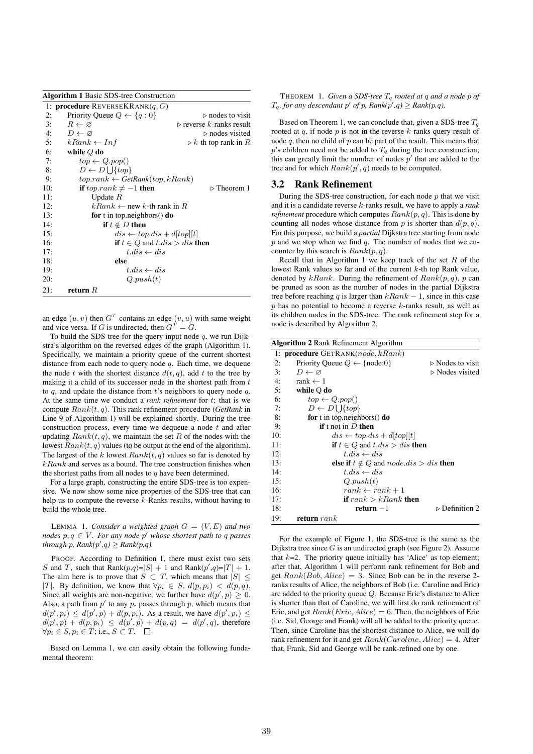|     | <b>Algorithm 1 Basic SDS-tree Construction</b>        |                                         |  |  |  |  |  |  |  |  |
|-----|-------------------------------------------------------|-----------------------------------------|--|--|--|--|--|--|--|--|
|     | 1: <b>procedure</b> REVERSEKRANK $(q, G)$             |                                         |  |  |  |  |  |  |  |  |
| 2:  | Priority Queue $Q \leftarrow \{q : 0\}$               | $\triangleright$ nodes to visit         |  |  |  |  |  |  |  |  |
| 3:  | $R \leftarrow \varnothing$                            | $\triangleright$ reverse k-ranks result |  |  |  |  |  |  |  |  |
| 4:  | $D \leftarrow \varnothing$                            | $\triangleright$ nodes visited          |  |  |  |  |  |  |  |  |
| 5:  | $kRank \leftarrow Inf$                                | $\triangleright$ k-th top rank in R     |  |  |  |  |  |  |  |  |
| 6:  | while $Q$ do                                          |                                         |  |  |  |  |  |  |  |  |
| 7:  | $top \leftarrow Q.pop()$                              |                                         |  |  |  |  |  |  |  |  |
| 8:  | $D \leftarrow D \cup \{top\}$                         |                                         |  |  |  |  |  |  |  |  |
| 9:  | $top. rank \leftarrow GetRank(top, kRank)$            |                                         |  |  |  |  |  |  |  |  |
| 10: | if top.rank $\neq -1$ then                            | $\triangleright$ Theorem 1              |  |  |  |  |  |  |  |  |
| 11: | Update $R$                                            |                                         |  |  |  |  |  |  |  |  |
| 12: | $kRank \leftarrow$ new k-th rank in R                 |                                         |  |  |  |  |  |  |  |  |
| 13: |                                                       | for t in top.neighbors $()$ do          |  |  |  |  |  |  |  |  |
| 14: | if $t \notin D$ then                                  |                                         |  |  |  |  |  |  |  |  |
| 15: | $dis \leftarrow top.ds + d  top  t $                  |                                         |  |  |  |  |  |  |  |  |
| 16: | <b>if</b> $t \in Q$ and $t$ . $dis > dis$ <b>then</b> |                                         |  |  |  |  |  |  |  |  |
| 17: | $t$ , dis $\leftarrow$ dis                            |                                         |  |  |  |  |  |  |  |  |
| 18: | else                                                  |                                         |  |  |  |  |  |  |  |  |
| 19: | $t$ , dis $\leftarrow$ dis                            |                                         |  |  |  |  |  |  |  |  |
| 20: | Q.push(t)                                             |                                         |  |  |  |  |  |  |  |  |
| 21: | return $R$                                            |                                         |  |  |  |  |  |  |  |  |

an edge  $(u, v)$  then  $G<sup>T</sup>$  contains an edge  $(v, u)$  with same weight and vice versa. If G is undirected, then  $G^T = G$ .

To build the SDS-tree for the query input node  $q$ , we run Dijkstra's algorithm on the reversed edges of the graph (Algorithm 1). Specifically, we maintain a priority queue of the current shortest distance from each node to query node  $q$ . Each time, we dequeue the node t with the shortest distance  $d(t, q)$ , add t to the tree by making it a child of its successor node in the shortest path from  $t$ to  $q$ , and update the distance from t's neighbors to query node  $q$ . At the same time we conduct a *rank refinement* for t; that is we compute Rank(t, q). This rank refinement procedure (*GetRank* in Line 9 of Algorithm 1) will be explained shortly. During the tree construction process, every time we dequeue a node  $t$  and after updating  $Rank(t, q)$ , we maintain the set R of the nodes with the lowest  $Rank(t, q)$  values (to be output at the end of the algorithm). The largest of the k lowest  $Rank(t, q)$  values so far is denoted by  $kRank$  and serves as a bound. The tree construction finishes when the shortest paths from all nodes to  $q$  have been determined.

For a large graph, constructing the entire SDS-tree is too expensive. We now show some nice properties of the SDS-tree that can help us to compute the reverse k-Ranks results, without having to build the whole tree.

LEMMA 1. *Consider a weighted graph*  $G = (V, E)$  *and two nodes* p, q ∈ V *. For any node* p ′ *whose shortest path to* q *passes*  $t$ *hrough*  $p$ *, Rank*( $p'$ , $q$ )  $\geq$  *Rank*( $p$ , $q$ ).

PROOF. According to Definition 1, there must exist two sets S and T, such that  $Rank(p,q)=|S| + 1$  and  $Rank(p',q)=|T| + 1$ . The aim here is to prove that  $S \subset T$ , which means that  $|S| \leq$ |T|. By definition, we know that  $\forall p_i \in S$ ,  $d(p, p_i) < d(p, q)$ . Since all weights are non-negative, we further have  $d(p', p) \geq 0$ . Also, a path from  $p'$  to any  $p_i$  passes through p, which means that  $d(p', p_i) \leq d(p', p) + d(p, p_i)$ . As a result, we have  $d(p', p_i) \leq$  $d(p', p) + d(p, p_i) \leq d(p', p) + d(p, q) = d(p', q)$ , therefore  $\forall p_i \in S, p_i \in T$ ; i.e.,  $S \subset T$ .

Based on Lemma 1, we can easily obtain the following fundamental theorem:

THEOREM 1. *Given a SDS-tree* T<sup>q</sup> *rooted at* q *and a node* p *of*  $T_q$ , for any descendant  $p'$  of p,  $Rank(p', q) \geq Rank(p, q)$ .

Based on Theorem 1, we can conclude that, given a SDS-tree  $T_q$ rooted at  $q$ , if node  $p$  is not in the reverse  $k$ -ranks query result of node  $q$ , then no child of  $p$  can be part of the result. This means that  $p$ 's children need not be added to  $T_q$  during the tree construction; this can greatly limit the number of nodes  $p'$  that are added to the tree and for which  $Rank(p', q)$  needs to be computed.

#### 3.2 Rank Refinement

During the SDS-tree construction, for each node  $p$  that we visit and it is a candidate reverse k-ranks result, we have to apply a *rank refinement* procedure which computes  $Rank(p, q)$ . This is done by counting all nodes whose distance from p is shorter than  $d(p, q)$ . For this purpose, we build a *partial* Dijkstra tree starting from node  $p$  and we stop when we find  $q$ . The number of nodes that we encounter by this search is  $Rank(p, q)$ .

Recall that in Algorithm 1 we keep track of the set  $R$  of the lowest Rank values so far and of the current k-th top Rank value, denoted by  $kRank$ . During the refinement of  $Rank(p, q)$ , p can be pruned as soon as the number of nodes in the partial Dijkstra tree before reaching q is larger than  $kRank - 1$ , since in this case  $p$  has no potential to become a reverse  $k$ -ranks result, as well as its children nodes in the SDS-tree. The rank refinement step for a node is described by Algorithm 2.

|  | <b>Algorithm 2 Rank Refinement Algorithm</b> |  |
|--|----------------------------------------------|--|
|--|----------------------------------------------|--|

| o   |                                                                     |                                 |
|-----|---------------------------------------------------------------------|---------------------------------|
|     | 1: <b>procedure</b> $GETRANK(node, kRank)$                          |                                 |
| 2:  | Priority Queue $Q \leftarrow \{node:0\}$                            | $\triangleright$ Nodes to visit |
| 3:  | $D \leftarrow \varnothing$                                          | $\triangleright$ Nodes visited  |
| 4:  | rank $\leftarrow$ 1                                                 |                                 |
| 5:  | while Q do                                                          |                                 |
| 6:  | $top \leftarrow Q.pop()$                                            |                                 |
| 7:  | $D \leftarrow D \cup \{top\}$                                       |                                 |
| 8:  | for t in top.neighbors $()$ do                                      |                                 |
| 9:  | if t not in $D$ then                                                |                                 |
| 10: | $dis \leftarrow top.ds + d[top][t]$                                 |                                 |
| 11: | <b>if</b> $t \in Q$ and $t$ . <i>dis</i> $>$ <i>dis</i> <b>then</b> |                                 |
| 12: | $t$ , dis $\leftarrow$ dis                                          |                                 |
| 13: | else if $t \notin Q$ and $node.ds > dis$ then                       |                                 |
| 14: | $t$ , dis $\leftarrow$ dis                                          |                                 |
| 15: | Q.push(t)                                                           |                                 |
| 16: | $rank \leftarrow rank + 1$                                          |                                 |
| 17: | if $rank > kRank$ then                                              |                                 |
| 18: | $return -1$                                                         | $\triangleright$ Definition 2   |
| 19: | return $rank$                                                       |                                 |
|     |                                                                     |                                 |

For the example of Figure 1, the SDS-tree is the same as the Dijkstra tree since  $G$  is an undirected graph (see Figure 2). Assume that  $k=2$ . The priority queue initially has 'Alice' as top element; after that, Algorithm 1 will perform rank refinement for Bob and get  $Rank(Bob, Alice) = 3$ . Since Bob can be in the reverse 2ranks results of Alice, the neighbors of Bob (i.e. Caroline and Eric) are added to the priority queue Q. Because Eric's distance to Alice is shorter than that of Caroline, we will first do rank refinement of Eric, and get  $Rank(Eric, Alice) = 6$ . Then, the neighbors of Eric (i.e. Sid, George and Frank) will all be added to the priority queue. Then, since Caroline has the shortest distance to Alice, we will do rank refinement for it and get  $Rank(Caroline, Alice) = 4$ . After that, Frank, Sid and George will be rank-refined one by one.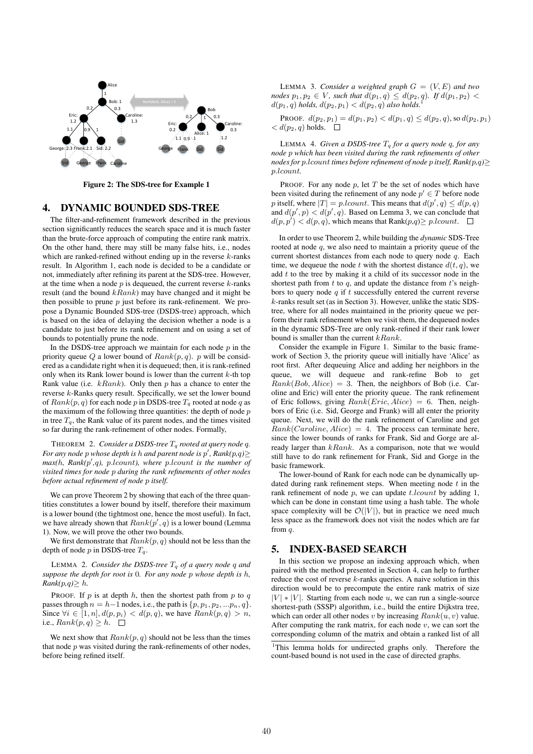

Figure 2: The SDS-tree for Example 1

#### 4. DYNAMIC BOUNDED SDS-TREE

The filter-and-refinement framework described in the previous section significantly reduces the search space and it is much faster than the brute-force approach of computing the entire rank matrix. On the other hand, there may still be many false hits, i.e., nodes which are ranked-refined without ending up in the reverse  $k$ -ranks result. In Algorithm 1, each node is decided to be a candidate or not, immediately after refining its parent at the SDS-tree. However, at the time when a node  $p$  is dequeued, the current reverse  $k$ -ranks result (and the bound  $kRank$ ) may have changed and it might be then possible to prune  $p$  just before its rank-refinement. We propose a Dynamic Bounded SDS-tree (DSDS-tree) approach, which is based on the idea of delaying the decision whether a node is a candidate to just before its rank refinement and on using a set of bounds to potentially prune the node.

In the DSDS-tree approach we maintain for each node  $p$  in the priority queue Q a lower bound of  $Rank(p, q)$ . p will be considered as a candidate right when it is dequeued; then, it is rank-refined only when its Rank lower bound is lower than the current  $k$ -th top Rank value (i.e.  $kRank$ ). Only then p has a chance to enter the reverse k-Ranks query result. Specifically, we set the lower bound of  $Rank(p, q)$  for each node p in DSDS-tree  $T_q$  rooted at node q as the maximum of the following three quantities: the depth of node  $p$ in tree  $T_q$ , the Rank value of its parent nodes, and the times visited so far during the rank-refinement of other nodes. Formally,

THEOREM 2. *Consider a DSDS-tree*  $T_q$  *rooted at query node q.* For any node  $p$  whose depth is  $h$  and parent node is  $p'$ ,  $Rank(p,q)$ *max(*h*, Rank(*p ′ *,*q*),* p.lcount*), where* p.lcount *is the number of visited times for node* p *during the rank refinements of other nodes before actual refinement of node* p *itself.*

We can prove Theorem 2 by showing that each of the three quantities constitutes a lower bound by itself, therefore their maximum is a lower bound (the tightmost one, hence the most useful). In fact, we have already shown that  $Rank(p', q)$  is a lower bound (Lemma 1). Now, we will prove the other two bounds.

We first demonstrate that  $Rank(p, q)$  should not be less than the depth of node p in DSDS-tree  $T_a$ .

LEMMA 2. *Consider the DSDS-tree*  $T_q$  *of a query node* q *and suppose the depth for root is* 0*. For any node* p *whose depth is* h*,*  $Rank(p,q) \geq h$ .

PROOF. If  $p$  is at depth  $h$ , then the shortest path from  $p$  to  $q$ passes through  $n = h-1$  nodes, i.e., the path is  $\{p, p_1, p_2, ... p_n, q\}.$ Since  $\forall i \in [1, n], d(p, p_i) < d(p, q)$ , we have  $Rank(p, q) > n$ , i.e.,  $Rank(p, q) \geq h$ .  $\Box$ 

We next show that  $Rank(p, q)$  should not be less than the times that node  $p$  was visited during the rank-refinements of other nodes, before being refined itself.

LEMMA 3. *Consider a weighted graph*  $G = (V, E)$  *and two nodes*  $p_1, p_2 \in V$ *, such that*  $d(p_1, q) \leq d(p_2, q)$ *. If*  $d(p_1, p_2)$  <  $d(p_1, q)$  *holds,*  $d(p_2, p_1) < d(p_2, q)$  *also holds.* 

PROOF.  $d(p_2, p_1) = d(p_1, p_2) < d(p_1, q) \leq d(p_2, q)$ , so  $d(p_2, p_1)$  $d(p_2, q)$  holds.  $\square$ 

LEMMA 4. *Given a DSDS-tree*  $T_q$  *for a query node q, for any node* p *which has been visited during the rank refinements of other nodes for* p.lcount *times before refinement of node* p *itself, Rank(*p*,*q*)*≥ p.lcount*.*

PROOF. For any node  $p$ , let  $T$  be the set of nodes which have been visited during the refinement of any node  $p' \in T$  before node p itself, where  $|T| = p$ .*l*count. This means that  $d(p', q) \leq d(p, q)$ and  $d(p', p) < d(p', q)$ . Based on Lemma 3, we can conclude that  $d(p, p') < d(p, q)$ , which means that Rank $(p, q) \geq p$ .lcount.

In order to use Theorem 2, while building the *dynamic* SDS-Tree rooted at node q, we also need to maintain a priority queue of the current shortest distances from each node to query node  $q$ . Each time, we dequeue the node t with the shortest distance  $d(t, q)$ , we add  $t$  to the tree by making it a child of its successor node in the shortest path from  $t$  to  $q$ , and update the distance from  $t$ 's neighbors to query node  $q$  if  $t$  successfully entered the current reverse k-ranks result set (as in Section 3). However, unlike the static SDStree, where for all nodes maintained in the priority queue we perform their rank refinement when we visit them, the dequeued nodes in the dynamic SDS-Tree are only rank-refined if their rank lower bound is smaller than the current  $kRank$ .

Consider the example in Figure 1. Similar to the basic framework of Section 3, the priority queue will initially have 'Alice' as root first. After dequeuing Alice and adding her neighbors in the queue, we will dequeue and rank-refine Bob to get  $Rank(Bob, Alice) = 3$ . Then, the neighbors of Bob (i.e. Caroline and Eric) will enter the priority queue. The rank refinement of Eric follows, giving  $Rank(Eric, Alice) = 6$ . Then, neighbors of Eric (i.e. Sid, George and Frank) will all enter the priority queue. Next, we will do the rank refinement of Caroline and get  $Rank(Caroline, Alice) = 4$ . The process can terminate here, since the lower bounds of ranks for Frank, Sid and Gorge are already larger than  $kRank$ . As a comparison, note that we would still have to do rank refinement for Frank, Sid and Gorge in the basic framework.

The lower-bound of Rank for each node can be dynamically updated during rank refinement steps. When meeting node  $t$  in the rank refinement of node p, we can update  $t$ .lcount by adding 1, which can be done in constant time using a hash table. The whole space complexity will be  $\mathcal{O}(|V|)$ , but in practice we need much less space as the framework does not visit the nodes which are far from q.

## 5. INDEX-BASED SEARCH

In this section we propose an indexing approach which, when paired with the method presented in Section 4, can help to further reduce the cost of reverse  $k$ -ranks queries. A naive solution in this direction would be to precompute the entire rank matrix of size  $|V| * |V|$ . Starting from each node u, we can run a single-source shortest-path (SSSP) algorithm, i.e., build the entire Dijkstra tree, which can order all other nodes v by increasing  $Rank(u, v)$  value. After computing the rank matrix, for each node  $v$ , we can sort the corresponding column of the matrix and obtain a ranked list of all

<sup>&</sup>lt;sup>1</sup>This lemma holds for undirected graphs only. Therefore the count-based bound is not used in the case of directed graphs.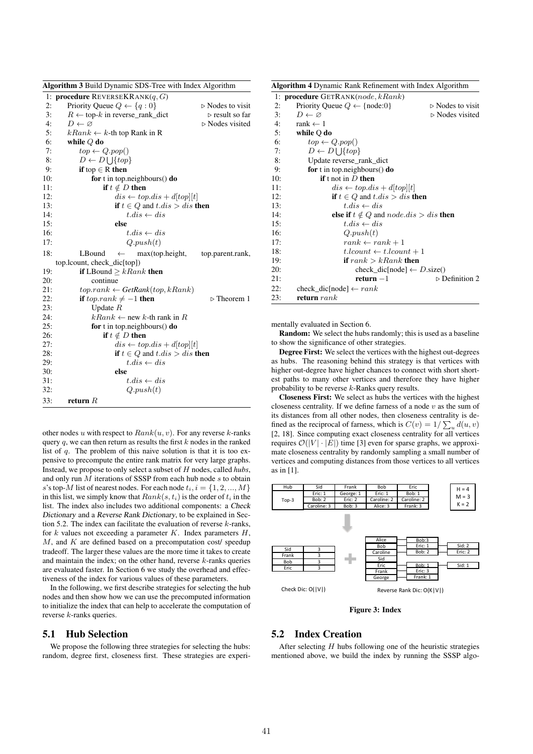| <b>Algorithm 3 Build Dynamic SDS-Tree with Index Algorithm</b> |                                                                     |                                 |  |  |  |  |  |
|----------------------------------------------------------------|---------------------------------------------------------------------|---------------------------------|--|--|--|--|--|
|                                                                | 1: <b>procedure</b> REVERSEKRANK $(q, G)$                           |                                 |  |  |  |  |  |
| 2:                                                             | Priority Queue $Q \leftarrow \{q : 0\}$                             | $\triangleright$ Nodes to visit |  |  |  |  |  |
| 3:                                                             | $R \leftarrow$ top-k in reverse_rank_dict                           | $\triangleright$ result so far  |  |  |  |  |  |
| 4:                                                             | $D \leftarrow \varnothing$                                          | $\triangleright$ Nodes visited  |  |  |  |  |  |
| 5:                                                             | $kRank \leftarrow k$ -th top Rank in R                              |                                 |  |  |  |  |  |
| 6:                                                             | while $Q$ do                                                        |                                 |  |  |  |  |  |
| 7:                                                             | $top \leftarrow Q.pop()$                                            |                                 |  |  |  |  |  |
| 8:                                                             | $D \leftarrow D \bigcup \{top\}$                                    |                                 |  |  |  |  |  |
| 9:                                                             | <b>if</b> top $\in$ R then                                          |                                 |  |  |  |  |  |
| 10:                                                            | for t in top.neighbours $()$ do                                     |                                 |  |  |  |  |  |
| 11:                                                            | if $t \notin D$ then                                                |                                 |  |  |  |  |  |
| 12:                                                            | $dis \leftarrow top.ds + d[top][t]$                                 |                                 |  |  |  |  |  |
| 13:                                                            | <b>if</b> $t \in Q$ and $t$ . <i>dis</i> $>$ <i>dis</i> <b>then</b> |                                 |  |  |  |  |  |
| 14:                                                            | $t$ .dis $\leftarrow$ dis                                           |                                 |  |  |  |  |  |
| 15:                                                            | else                                                                |                                 |  |  |  |  |  |
| 16:                                                            | $t.dis \leftarrow dis$                                              |                                 |  |  |  |  |  |
| 17:                                                            | Q.push(t)                                                           |                                 |  |  |  |  |  |
| 18:                                                            | LBound<br>max(top.height,<br>$\leftarrow$                           | top.parent.rank,                |  |  |  |  |  |
|                                                                | top.lcount, check_dic[top])                                         |                                 |  |  |  |  |  |
| 19:                                                            | <b>if</b> LBound $\geq kRank$ then                                  |                                 |  |  |  |  |  |
| 20:                                                            | continue                                                            |                                 |  |  |  |  |  |
| 21:                                                            | $top. rank \leftarrow GetRank(top, kRank)$                          |                                 |  |  |  |  |  |
| 22:                                                            | if top.ran $k \neq -1$ then                                         | $\triangleright$ Theorem 1      |  |  |  |  |  |
| 23:                                                            | Update $R$                                                          |                                 |  |  |  |  |  |
| 24:                                                            | $kRank \leftarrow$ new k-th rank in R                               |                                 |  |  |  |  |  |
| 25:                                                            | for t in top.neighbours $()$ do                                     |                                 |  |  |  |  |  |
| 26:                                                            | if $t \notin D$ then                                                |                                 |  |  |  |  |  |
| 27:                                                            | $dis \leftarrow top.ds + d[top][t]$                                 |                                 |  |  |  |  |  |
| 28:                                                            | <b>if</b> $t \in Q$ and $t$ . $dis > dis$ <b>then</b>               |                                 |  |  |  |  |  |
| 29:                                                            | $t$ .dis $\leftarrow$ dis                                           |                                 |  |  |  |  |  |
| 30:                                                            | else                                                                |                                 |  |  |  |  |  |
| 31:                                                            | $t$ .dis $\leftarrow$ dis                                           |                                 |  |  |  |  |  |
| 32:                                                            | Q.push(t)                                                           |                                 |  |  |  |  |  |
| 33:                                                            | return $R$                                                          |                                 |  |  |  |  |  |

other nodes u with respect to  $Rank(u, v)$ . For any reverse k-ranks query  $q$ , we can then return as results the first  $k$  nodes in the ranked list of  $q$ . The problem of this naive solution is that it is too expensive to precompute the entire rank matrix for very large graphs. Instead, we propose to only select a subset of H nodes, called *hubs*, and only run  $M$  iterations of SSSP from each hub node  $s$  to obtain s's top-M list of nearest nodes. For each node  $t_i$ ,  $i = \{1, 2, ..., M\}$ in this list, we simply know that  $Rank(s, t_i)$  is the order of  $t_i$  in the list. The index also includes two additional components: a Check Dictionary and a Reverse Rank Dictionary, to be explained in Section 5.2. The index can facilitate the evaluation of reverse  $k$ -ranks, for  $k$  values not exceeding a parameter  $K$ . Index parameters  $H$ ,  $M$ , and  $K$  are defined based on a precomputation cost/ speedup tradeoff. The larger these values are the more time it takes to create and maintain the index; on the other hand, reverse  $k$ -ranks queries are evaluated faster. In Section 6 we study the overhead and effectiveness of the index for various values of these parameters.

In the following, we first describe strategies for selecting the hub nodes and then show how we can use the precomputed information to initialize the index that can help to accelerate the computation of reverse k-ranks queries.

#### 5.1 Hub Selection

We propose the following three strategies for selecting the hubs: random, degree first, closeness first. These strategies are experi-

Algorithm 4 Dynamic Rank Refinement with Index Algorithm

|     | 1: <b>procedure</b> $GETRANK(node, kRank)$                          |                                 |
|-----|---------------------------------------------------------------------|---------------------------------|
| 2:  | Priority Queue $Q \leftarrow \{node:0\}$                            | $\triangleright$ Nodes to visit |
| 3:  | $D \leftarrow \varnothing$                                          | $\triangleright$ Nodes visited  |
| 4:  | $rank \leftarrow 1$                                                 |                                 |
| 5:  | while $Q$ do                                                        |                                 |
| 6:  | $top \leftarrow Q.pop()$                                            |                                 |
| 7:  | $D \leftarrow D \cup \{top\}$                                       |                                 |
| 8:  | Update reverse_rank_dict                                            |                                 |
| 9:  | for t in top.neighbours() do                                        |                                 |
| 10: | if t not in $D$ then                                                |                                 |
| 11: | $dis \leftarrow top.ds + d[top][t]$                                 |                                 |
| 12: | <b>if</b> $t \in Q$ and $t$ . <i>dis</i> $>$ <i>dis</i> <b>then</b> |                                 |
| 13: | $t$ , dis $\leftarrow$ dis                                          |                                 |
| 14: | else if $t \notin Q$ and $node.ds > dis$ then                       |                                 |
| 15: | $t$ .dis $\leftarrow$ dis                                           |                                 |
| 16: | Q.push(t)                                                           |                                 |
| 17: | $rank \leftarrow rank + 1$                                          |                                 |
| 18: | $t.lcount \leftarrow t.lcount + 1$                                  |                                 |
| 19: | if $rank > kRank$ then                                              |                                 |
| 20: | check_dic[node] $\leftarrow D.size()$                               |                                 |
| 21: | $return -1$                                                         | $\triangleright$ Definition 2   |
| 22: | check_dic[node] $\leftarrow$ rank                                   |                                 |
| 23: | return $rank$                                                       |                                 |

mentally evaluated in Section 6.

Random: We select the hubs randomly; this is used as a baseline to show the significance of other strategies.

Degree First: We select the vertices with the highest out-degrees as hubs. The reasoning behind this strategy is that vertices with higher out-degree have higher chances to connect with short shortest paths to many other vertices and therefore they have higher probability to be reverse k-Ranks query results.

Closeness First: We select as hubs the vertices with the highest closeness centrality. If we define farness of a node  $v$  as the sum of its distances from all other nodes, then closeness centrality is defined as the reciprocal of farness, which is  $C(v) = 1/\sum_u d(u, v)$ [2, 18]. Since computing exact closeness centrality for all vertices requires  $\mathcal{O}(|V| \cdot |E|)$  time [3] even for sparse graphs, we approximate closeness centrality by randomly sampling a small number of vertices and computing distances from those vertices to all vertices as in [1].



Figure 3: Index

# 5.2 Index Creation

After selecting  $H$  hubs following one of the heuristic strategies mentioned above, we build the index by running the SSSP algo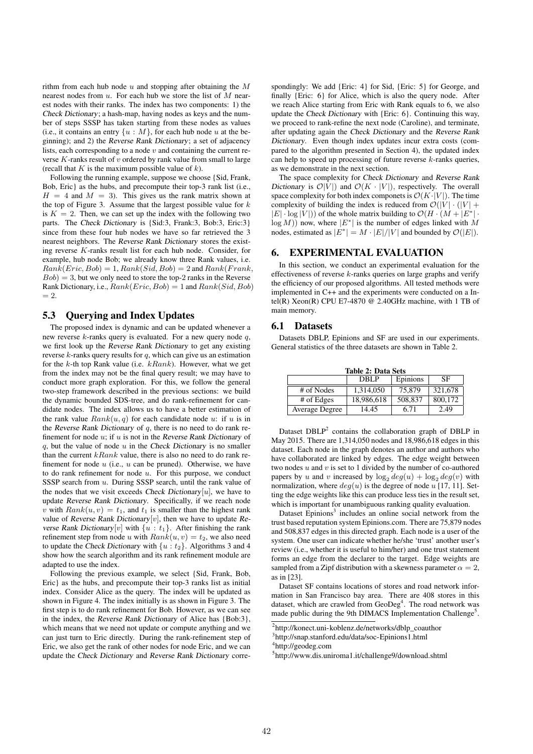rithm from each hub node  $u$  and stopping after obtaining the  $M$ nearest nodes from  $u$ . For each hub we store the list of  $M$  nearest nodes with their ranks. The index has two components: 1) the Check Dictionary; a hash-map, having nodes as keys and the number of steps SSSP has taken starting from these nodes as values (i.e., it contains an entry  $\{u : M\}$ , for each hub node u at the beginning); and 2) the Reverse Rank Dictionary; a set of adjacency lists, each corresponding to a node  $v$  and containing the current reverse  $K$ -ranks result of  $v$  ordered by rank value from small to large (recall that  $K$  is the maximum possible value of  $k$ ).

Following the running example, suppose we choose {Sid, Frank, Bob, Eric} as the hubs, and precompute their top-3 rank list (i.e.,  $H = 4$  and  $M = 3$ ). This gives us the rank matrix shown at the top of Figure 3. Assume that the largest possible value for  $k$ is  $K = 2$ . Then, we can set up the index with the following two parts. The Check Dictionary is {Sid:3, Frank:3, Bob:3, Eric:3} since from these four hub nodes we have so far retrieved the 3 nearest neighbors. The Reverse Rank Dictionary stores the existing reverse K-ranks result list for each hub node. Consider, for example, hub node Bob; we already know three Rank values, i.e.  $Rank(Eric, Bob) = 1, Rank(Sid, Bob) = 2$  and  $Rank(Frank,$  $Bob$ ) = 3, but we only need to store the top-2 ranks in the Reverse Rank Dictionary, i.e.,  $Rank(Eric, Bob) = 1$  and  $Rank(Sid, Bob)$  $= 2.$ 

#### 5.3 Querying and Index Updates

The proposed index is dynamic and can be updated whenever a new reverse  $k$ -ranks query is evaluated. For a new query node  $q$ , we first look up the Reverse Rank Dictionary to get any existing reverse  $k$ -ranks query results for  $q$ , which can give us an estimation for the  $k$ -th top Rank value (i.e.  $kRank$ ). However, what we get from the index may not be the final query result; we may have to conduct more graph exploration. For this, we follow the general two-step framework described in the previous sections: we build the dynamic bounded SDS-tree, and do rank-refinement for candidate nodes. The index allows us to have a better estimation of the rank value  $Rank(u, q)$  for each candidate node u: if u is in the Reverse Rank Dictionary of  $q$ , there is no need to do rank refinement for node  $u$ ; if  $u$  is not in the Reverse Rank Dictionary of  $q$ , but the value of node  $u$  in the Check Dictionary is no smaller than the current  $kRank$  value, there is also no need to do rank refinement for node  $u$  (i.e.,  $u$  can be pruned). Otherwise, we have to do rank refinement for node  $u$ . For this purpose, we conduct SSSP search from u. During SSSP search, until the rank value of the nodes that we visit exceeds Check Dictionary[u], we have to update Reverse Rank Dictionary. Specifically, if we reach node v with  $Rank(u, v) = t_1$ , and  $t_1$  is smaller than the highest rank value of Reverse Rank Dictionary $[v]$ , then we have to update Reverse Rank Dictionary[v] with  $\{u : t_1\}$ . After finishing the rank refinement step from node u with  $Rank(u, v) = t_2$ , we also need to update the Check Dictionary with  $\{u : t_2\}$ . Algorithms 3 and 4 show how the search algorithm and its rank refinement module are adapted to use the index.

Following the previous example, we select {Sid, Frank, Bob, Eric} as the hubs, and precompute their top-3 ranks list as initial index. Consider Alice as the query. The index will be updated as shown in Figure 4. The index initially is as shown in Figure 3. The first step is to do rank refinement for Bob. However, as we can see in the index, the Reverse Rank Dictionary of Alice has {Bob:3}, which means that we need not update or compute anything and we can just turn to Eric directly. During the rank-refinement step of Eric, we also get the rank of other nodes for node Eric, and we can update the Check Dictionary and Reverse Rank Dictionary corre-

spondingly: We add {Eric: 4} for Sid, {Eric: 5} for George, and finally {Eric: 6} for Alice, which is also the query node. After we reach Alice starting from Eric with Rank equals to 6, we also update the Check Dictionary with {Eric: 6}. Continuing this way, we proceed to rank-refine the next node (Caroline), and terminate, after updating again the Check Dictionary and the Reverse Rank Dictionary. Even though index updates incur extra costs (compared to the algorithm presented in Section 4), the updated index can help to speed up processing of future reverse  $k$ -ranks queries, as we demonstrate in the next section.

The space complexity for Check Dictionary and Reverse Rank Dictionary is  $\mathcal{O}|V|$  and  $\mathcal{O}(K \cdot |V|)$ , respectively. The overall space complexity for both index componets is  $\mathcal{O}(K \cdot |V|)$ . The time complexity of building the index is reduced from  $\mathcal{O}(|V| \cdot (|V| +$  $|E| \cdot \log |V|$ ) of the whole matrix building to  $\mathcal{O}(H \cdot (M + |E^*| \cdot$  $log(M)$ ) now, where  $|E^*|$  is the number of edges linked with M nodes, estimated as  $|E^*| = M \cdot |E|/|V|$  and bounded by  $\mathcal{O}(|E|)$ .

#### **EXPERIMENTAL EVALUATION**

In this section, we conduct an experimental evaluation for the effectiveness of reverse  $k$ -ranks queries on large graphs and verify the efficiency of our proposed algorithms. All tested methods were implemented in C++ and the experiments were conducted on a Intel(R) Xeon(R) CPU E7-4870  $@$  2.40GHz machine, with 1 TB of main memory.

#### 6.1 Datasets

Datasets DBLP, Epinions and SF are used in our experiments. General statistics of the three datasets are shown in Table 2.

| <b>Table 2: Data Sets</b> |            |         |         |  |  |  |
|---------------------------|------------|---------|---------|--|--|--|
| Epinions<br>SF<br>DBLP    |            |         |         |  |  |  |
| # of Nodes                | 1,314,050  | 75,879  | 321,678 |  |  |  |
| # of Edges                | 18,986,618 | 508,837 | 800.172 |  |  |  |
| Average Degree            | 14.45      | 6.71    | 2.49    |  |  |  |

Dataset  $DBLP<sup>2</sup>$  contains the collaboration graph of DBLP in May 2015. There are 1,314,050 nodes and 18,986,618 edges in this dataset. Each node in the graph denotes an author and authors who have collaborated are linked by edges. The edge weight between two nodes  $u$  and  $v$  is set to 1 divided by the number of co-authored papers by u and v increased by  $\log_2 deg(u) + \log_2 deg(v)$  with normalization, where  $deg(u)$  is the degree of node u [17, 11]. Setting the edge weights like this can produce less ties in the result set, which is important for unambiguous ranking quality evaluation.

Dataset Epinions<sup>3</sup> includes an online social network from the trust based reputation system Epinions.com. There are 75,879 nodes and 508,837 edges in this directed graph. Each node is a user of the system. One user can indicate whether he/she 'trust' another user's review (i.e., whether it is useful to him/her) and one trust statement forms an edge from the declarer to the target. Edge weights are sampled from a Zipf distribution with a skewness parameter  $\alpha = 2$ , as in [23].

Dataset SF contains locations of stores and road network information in San Francisco bay area. There are 408 stores in this dataset, which are crawled from GeoDeg<sup>4</sup>. The road network was made public during the 9th DIMACS Implementation Challenge<sup>5</sup>.

<sup>2</sup> http://konect.uni-koblenz.de/networks/dblp\_coauthor

<sup>3</sup> http://snap.stanford.edu/data/soc-Epinions1.html

<sup>4</sup> http://geodeg.com

<sup>5</sup> http://www.dis.uniroma1.it/challenge9/download.shtml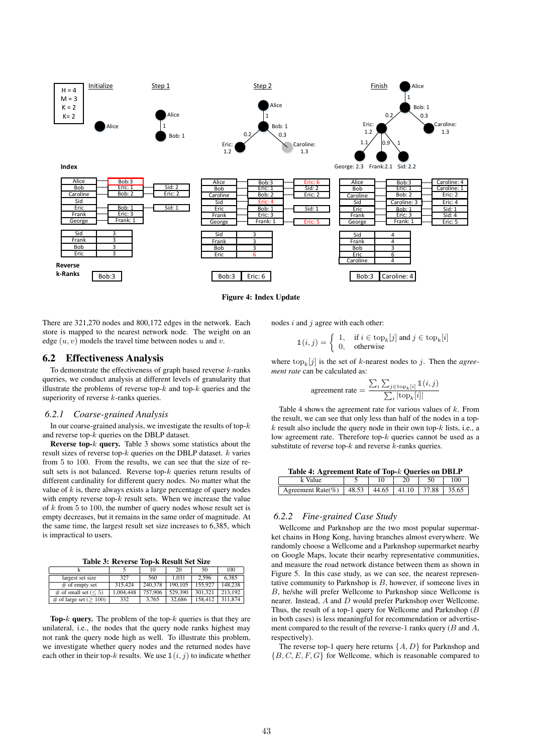

Figure 4: Index Update

There are 321,270 nodes and 800,172 edges in the network. Each store is mapped to the nearest network node. The weight on an edge  $(u, v)$  models the travel time between nodes u and v.

## 6.2 Effectiveness Analysis

To demonstrate the effectiveness of graph based reverse  $k$ -ranks queries, we conduct analysis at different levels of granularity that illustrate the problems of reverse top- $k$  and top- $k$  queries and the superiority of reverse k-ranks queries.

#### *6.2.1 Coarse-grained Analysis*

In our coarse-grained analysis, we investigate the results of top- $k$ and reverse top-k queries on the DBLP dataset.

**Reverse top-** $k$  query. Table 3 shows some statistics about the result sizes of reverse top- $k$  queries on the DBLP dataset.  $k$  varies from 5 to 100. From the results, we can see that the size of result sets is not balanced. Reverse top-k queries return results of different cardinality for different query nodes. No matter what the value of  $k$  is, there always exists a large percentage of query nodes with empty reverse top- $k$  result sets. When we increase the value of  $k$  from 5 to 100, the number of query nodes whose result set is empty decreases, but it remains in the same order of magnitude. At the same time, the largest result set size increases to 6,385, which is impractical to users.

Table 3: Reverse Top-k Result Set Size

|                                |           | 10      | 20      | 50      | 100     |  |
|--------------------------------|-----------|---------|---------|---------|---------|--|
| largest set size               | 327       | 560     | 1.031   | 2.596   | 6.385   |  |
| $\#$ of empty set              | 315,424   | 240,378 | 190,105 | 155,927 | 148,238 |  |
| $\#$ of small set ( $\leq 5$ ) | 1.004.448 | 757,906 | 529,390 | 301.321 | 213.192 |  |
| $\#$ of large set ( $> 100$ )  | 332       | 3.765   | 32,686  | 158.412 | 311.874 |  |

**Top-k query.** The problem of the top- $k$  queries is that they are unilateral, i.e., the nodes that the query node ranks highest may not rank the query node high as well. To illustrate this problem, we investigate whether query nodes and the returned nodes have each other in their top-k results. We use  $\mathbb{1}(i, j)$  to indicate whether nodes  $i$  and  $j$  agree with each other:

$$
\mathbb{1}(i,j) = \begin{cases} 1, & \text{if } i \in \text{top}_k[j] \text{ and } j \in \text{top}_k[i] \\ 0, & \text{otherwise} \end{cases}
$$

where  $\text{top}_k[j]$  is the set of k-nearest nodes to j. Then the *agreement rate* can be calculated as:

$$
\text{agreement rate} = \frac{\sum_{i} \sum_{j \in \text{top}_k[i]} \mathbb{1}(i, j)}{\sum_{i} |\text{top}_k[i]|}
$$

Table 4 shows the agreement rate for various values of  $k$ . From the result, we can see that only less than half of the nodes in a top $k$  result also include the query node in their own top- $k$  lists, i.e., a low agreement rate. Therefore top- $k$  queries cannot be used as a substitute of reverse top- $k$  and reverse  $k$ -ranks queries.

| Table 4: Agreement Rate of Top-k Queries on DBLP          |  |  |    |    |     |  |
|-----------------------------------------------------------|--|--|----|----|-----|--|
| k Value                                                   |  |  | 20 | 50 | 100 |  |
| Agreement Rate(%)   48.53   44.65   41.10   37.88   35.65 |  |  |    |    |     |  |

#### *6.2.2 Fine-grained Case Study*

Wellcome and Parknshop are the two most popular supermarket chains in Hong Kong, having branches almost everywhere. We randomly choose a Wellcome and a Parknshop supermarket nearby on Google Maps, locate their nearby representative communities, and measure the road network distance between them as shown in Figure 5. In this case study, as we can see, the nearest representative community to Parknshop is  $B$ , however, if someone lives in B, he/she will prefer Wellcome to Parknshop since Wellcome is nearer. Instead, A and D would prefer Parknshop over Wellcome. Thus, the result of a top-1 query for Wellcome and Parknshop  $(B)$ in both cases) is less meaningful for recommendation or advertisement compared to the result of the reverse-1 ranks query  $(B \text{ and } A,$ respectively).

The reverse top-1 query here returns  $\{A, D\}$  for Parknshop and  ${B, C, E, F, G}$  for Wellcome, which is reasonable compared to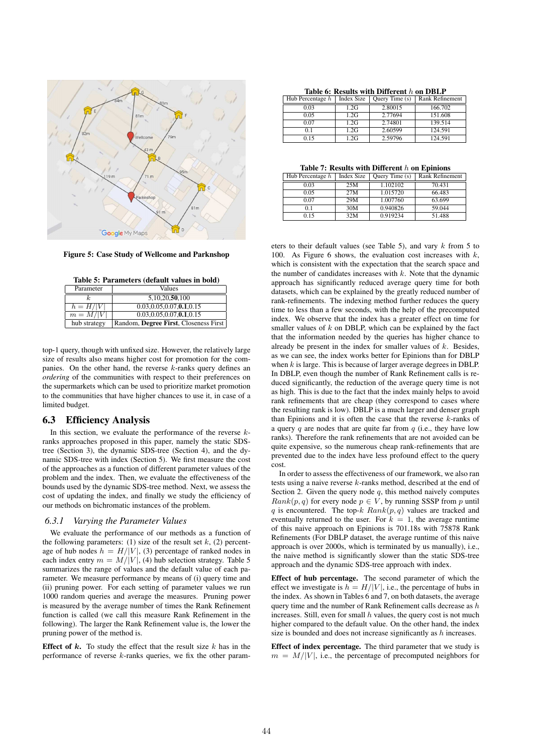

Figure 5: Case Study of Wellcome and Parknshop

Table 5: Parameters (default values in bold) **Parameter** 

| .            | .                                     |
|--------------|---------------------------------------|
|              | 5,10,20,50,100                        |
| $h = H/ V $  | 0.03, 0.05, 0.07, 0.1, 0.15           |
| $m = M/ V $  | 0.03, 0.05, 0.07, 0.1, 0.15           |
| hub strategy | Random, Degree First, Closeness First |

top-1 query, though with unfixed size. However, the relatively large size of results also means higher cost for promotion for the companies. On the other hand, the reverse  $k$ -ranks query defines an *ordering* of the communities with respect to their preferences on the supermarkets which can be used to prioritize market promotion to the communities that have higher chances to use it, in case of a limited budget.

## 6.3 Efficiency Analysis

In this section, we evaluate the performance of the reverse  $k$ ranks approaches proposed in this paper, namely the static SDStree (Section 3), the dynamic SDS-tree (Section 4), and the dynamic SDS-tree with index (Section 5). We first measure the cost of the approaches as a function of different parameter values of the problem and the index. Then, we evaluate the effectiveness of the bounds used by the dynamic SDS-tree method. Next, we assess the cost of updating the index, and finally we study the efficiency of our methods on bichromatic instances of the problem.

#### *6.3.1 Varying the Parameter Values*

We evaluate the performance of our methods as a function of the following parameters: (1) size of the result set  $k$ , (2) percentage of hub nodes  $h = H/|V|$ , (3) percentage of ranked nodes in each index entry  $m = M/|V|$ , (4) hub selection strategy. Table 5 summarizes the range of values and the default value of each parameter. We measure performance by means of (i) query time and (ii) pruning power. For each setting of parameter values we run 1000 random queries and average the measures. Pruning power is measured by the average number of times the Rank Refinement function is called (we call this measure Rank Refinement in the following). The larger the Rank Refinement value is, the lower the pruning power of the method is.

**Effect of k.** To study the effect that the result size  $k$  has in the performance of reverse k-ranks queries, we fix the other param-

Table 6: Results with Different h on DRLP

| Hub Percentage h | <b>Index Size</b> | Query Time (s) | Rank Refinement |
|------------------|-------------------|----------------|-----------------|
| 0.03             | 1.2G              | 2.80015        | 166.702         |
| 0.05             | 1.2G              | 2.77694        | 151.608         |
| 0.07             | 1.2G              | 2.74801        | 139.514         |
| 01               | 1.2G              | 2.60599        | 124.591         |
| 0.15             | 1.2G              | 2.59796        | 124.591         |

Table 7: Results with Different  $h$  on Epinions

| Hub Percentage h | <b>Index Size</b> | Query Time (s) | <b>Rank Refinement</b> |
|------------------|-------------------|----------------|------------------------|
| 0.03             | 25M               | 1.102102       | 70.431                 |
| 0.05             | 27M               | 1.015720       | 66.483                 |
| 0.07             | 29M               | 1.007760       | 63.699                 |
| 0.1              | 30M               | 0.940826       | 59.044                 |
| 0.15             | 32M               | 0.919234       | 51.488                 |

eters to their default values (see Table 5), and vary  $k$  from 5 to 100. As Figure 6 shows, the evaluation cost increases with  $k$ , which is consistent with the expectation that the search space and the number of candidates increases with  $k$ . Note that the dynamic approach has significantly reduced average query time for both datasets, which can be explained by the greatly reduced number of rank-refinements. The indexing method further reduces the query time to less than a few seconds, with the help of the precomputed index. We observe that the index has a greater effect on time for smaller values of  $k$  on DBLP, which can be explained by the fact that the information needed by the queries has higher chance to already be present in the index for smaller values of  $k$ . Besides, as we can see, the index works better for Epinions than for DBLP when  $k$  is large. This is because of larger average degrees in DBLP. In DBLP, even though the number of Rank Refinement calls is reduced significantly, the reduction of the average query time is not as high. This is due to the fact that the index mainly helps to avoid rank refinements that are cheap (they correspond to cases where the resulting rank is low). DBLP is a much larger and denser graph than Epinions and it is often the case that the reverse  $k$ -ranks of a query  $q$  are nodes that are quite far from  $q$  (i.e., they have low ranks). Therefore the rank refinements that are not avoided can be quite expensive, so the numerous cheap rank-refinements that are prevented due to the index have less profound effect to the query cost.

In order to assess the effectiveness of our framework, we also ran tests using a naive reverse k-ranks method, described at the end of Section 2. Given the query node  $q$ , this method naively computes  $Rank(p, q)$  for every node  $p \in V$ , by running SSSP from p until  $q$  is encountered. The top- $k$   $Rank(p, q)$  values are tracked and eventually returned to the user. For  $k = 1$ , the average runtime of this naive approach on Epinions is 701.18s with 75878 Rank Refinements (For DBLP dataset, the average runtime of this naive approach is over 2000s, which is terminated by us manually), i.e., the naive method is significantly slower than the static SDS-tree approach and the dynamic SDS-tree approach with index.

Effect of hub percentage. The second parameter of which the effect we investigate is  $h = H/|V|$ , i.e., the percentage of hubs in the index. As shown in Tables 6 and 7, on both datasets, the average query time and the number of Rank Refinement calls decrease as  $h$ increases. Still, even for small  $h$  values, the query cost is not much higher compared to the default value. On the other hand, the index size is bounded and does not increase significantly as h increases.

Effect of index percentage. The third parameter that we study is  $m = M/|V|$ , i.e., the percentage of precomputed neighbors for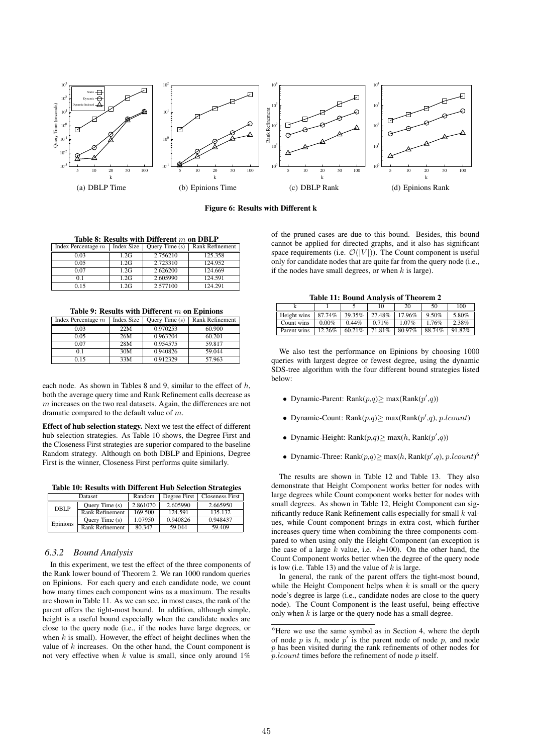

Figure 6: Results with Different k

Table 8: Results with Different  $m$  on DBLP

| Index Percentage $m$ | Index Size | Query Time (s) | <b>Rank Refinement</b> |
|----------------------|------------|----------------|------------------------|
| 0.03                 | 1.2G       | 2.756210       | 125.358                |
| 0.05                 | 1.2G       | 2.723310       | 124.952                |
| 0.07                 | 1.2G       | 2.626200       | 124.669                |
| 01                   | 1.2G       | 2.605990       | 124.591                |
| 0.15                 | 1.2G       | 2.577100       | 124.291                |

Table 9: Results with Different  $m$  on Epinions

| Index Percentage $m$ | Index Size | Query Time (s) | <b>Rank Refinement</b> |
|----------------------|------------|----------------|------------------------|
| 0.03                 | 22M        | 0.970253       | 60.900                 |
| 0.05                 | 26M        | 0.963204       | 60.201                 |
| 0.07                 | 28M        | 0.954575       | 59.817                 |
| 0.1                  | 30M        | 0.940826       | 59.044                 |
| 0.15                 | 33M        | 0.912329       | 57.963                 |

each node. As shown in Tables 8 and 9, similar to the effect of  $h$ , both the average query time and Rank Refinement calls decrease as  $m$  increases on the two real datasets. Again, the differences are not dramatic compared to the default value of m.

Effect of hub selection stategy. Next we test the effect of different hub selection strategies. As Table 10 shows, the Degree First and the Closeness First strategies are superior compared to the baseline Random strategy. Although on both DBLP and Epinions, Degree First is the winner, Closeness First performs quite similarly.

Table 10: Results with Different Hub Selection Strategies

|          | Dataset                | Random   | Degree First | <b>Closeness First</b> |
|----------|------------------------|----------|--------------|------------------------|
| DBLP     | Ouery Time $(s)$       | 2.861070 | 2.605990     | 2.665950               |
|          | <b>Rank Refinement</b> | 169.500  | 124.591      | 135.132                |
| Epinions | Ouery Time $(s)$       | 1.07950  | 0.940826     | 0.948437               |
|          | Rank Refinement        | 80.347   | 59.044       | 59.409                 |

## *6.3.2 Bound Analysis*

In this experiment, we test the effect of the three components of the Rank lower bound of Theorem 2. We ran 1000 random queries on Epinions. For each query and each candidate node, we count how many times each component wins as a maximum. The results are shown in Table 11. As we can see, in most cases, the rank of the parent offers the tight-most bound. In addition, although simple, height is a useful bound especially when the candidate nodes are close to the query node (i.e., if the nodes have large degrees, or when  $k$  is small). However, the effect of height declines when the value of  $k$  increases. On the other hand, the Count component is not very effective when  $k$  value is small, since only around  $1\%$ 

of the pruned cases are due to this bound. Besides, this bound cannot be applied for directed graphs, and it also has significant space requirements (i.e.  $\mathcal{O}(|V|)$ ). The Count component is useful only for candidate nodes that are quite far from the query node (i.e., if the nodes have small degrees, or when  $k$  is large).

| <b>Table 11: Bound Analysis of Theorem 2</b> |  |  |
|----------------------------------------------|--|--|
|----------------------------------------------|--|--|

|             |          |          |        | 20       | 50       | 100    |
|-------------|----------|----------|--------|----------|----------|--------|
| Height wins | 87.74%   | 39.35%   | 27.48% | 17.96%   | $9.50\%$ | 5.80%  |
| Count wins  | $0.00\%$ | $0.44\%$ | 0.71%  | $1.07\%$ | 1.76%    | 2.38%  |
| Parent wins | 12.26%   | 6021%    | 71.81% | 80.97%   | 88.74%   | 91.82% |

We also test the performance on Epinions by choosing 1000 queries with largest degree or fewest degree, using the dynamic SDS-tree algorithm with the four different bound strategies listed below:

- Dynamic-Parent:  $Rank(p,q) \ge max(Rank(p',q))$
- Dynamic-Count:  $Rank(p,q) \ge max(Rank(p',q), p.lcount)$
- Dynamic-Height:  $Rank(p,q) \ge \max(h, Rank(p',q))$
- Dynamic-Three: Rank $(p,q) \ge \max(h, Rank(p', q), p.lcount)^6$

The results are shown in Table 12 and Table 13. They also demonstrate that Height Component works better for nodes with large degrees while Count component works better for nodes with small degrees. As shown in Table 12, Height Component can significantly reduce Rank Refinement calls especially for small  $k$  values, while Count component brings in extra cost, which further increases query time when combining the three components compared to when using only the Height Component (an exception is the case of a large k value, i.e.  $k=100$ ). On the other hand, the Count Component works better when the degree of the query node is low (i.e. Table 13) and the value of  $k$  is large.

In general, the rank of the parent offers the tight-most bound, while the Height Component helps when  $k$  is small or the query node's degree is large (i.e., candidate nodes are close to the query node). The Count Component is the least useful, being effective only when  $k$  is large or the query node has a small degree.

 ${}^{6}$ Here we use the same symbol as in Section 4, where the depth of node  $p$  is  $h$ , node  $p'$  is the parent node of node  $p$ , and node  $p$  has been visited during the rank refinements of other nodes for  $p.$ lcount times before the refinement of node  $p$  itself.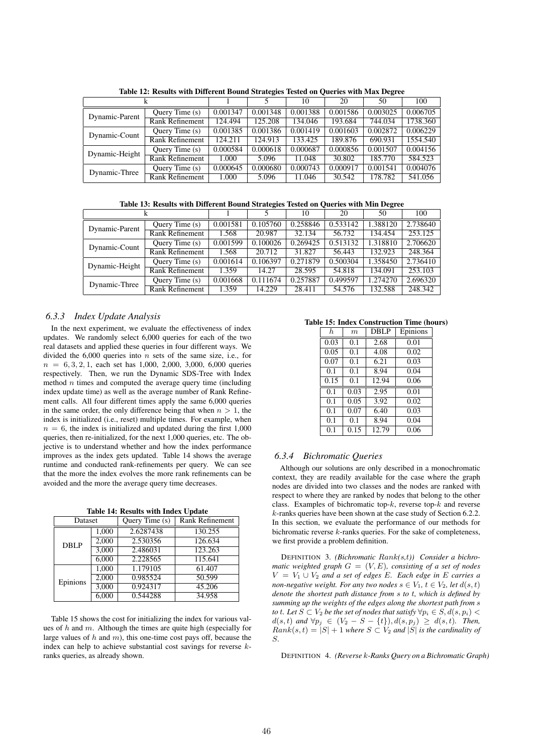|                |                        |          |          | 10       | 20       | 50       | 100      |
|----------------|------------------------|----------|----------|----------|----------|----------|----------|
| Dynamic-Parent | Ouery Time (s)         | 0.001347 | 0.001348 | 0.001388 | 0.001586 | 0.003025 | 0.006705 |
|                | <b>Rank Refinement</b> | 124.494  | 125.208  | 134.046  | 193.684  | 744.034  | 1738.360 |
| Dynamic-Count  | Query Time (s)         | 0.001385 | 0.001386 | 0.001419 | 0.001603 | 0.002872 | 0.006229 |
|                | <b>Rank Refinement</b> | 124.211  | 124.913  | 133.425  | 189.876  | 690.931  | 1554.540 |
| Dynamic-Height | Ouery Time $(s)$       | 0.000584 | 0.000618 | 0.000687 | 0.000856 | 0.001507 | 0.004156 |
|                | <b>Rank Refinement</b> | 1.000    | 5.096    | 11.048   | 30.802   | 185.770  | 584.523  |
| Dynamic-Three  | Query Time (s)         | 0.000645 | 0.000680 | 0.000743 | 0.000917 | 0.001541 | 0.004076 |
|                | <b>Rank Refinement</b> | 1.000    | 5.096    | 11.046   | 30.542   | 178.782  | 541.056  |

Table 12: Results with Different Bound Strategies Tested on Queries with Max Degree

Table 13: Results with Different Bound Strategies Tested on Queries with Min Degree

|                |                        |          |          | 10       | 20       | 50       | 100      |
|----------------|------------------------|----------|----------|----------|----------|----------|----------|
| Dynamic-Parent | Query Time $(s)$       | 0.001581 | 0.105760 | 0.258846 | 0.533142 | 1.388120 | 2.738640 |
|                | <b>Rank Refinement</b> | 1.568    | 20.987   | 32.134   | 56.732   | 134.454  | 253.125  |
| Dynamic-Count  | Query Time (s)         | 0.001599 | 0.100026 | 0.269425 | 0.513132 | 1.318810 | 2.706620 |
|                | <b>Rank Refinement</b> | 1.568    | 20.712   | 31.827   | 56.443   | 132.923  | 248.364  |
| Dynamic-Height | Query Time (s)         | 0.001614 | 0.106397 | 0.271879 | 0.500304 | 1.358450 | 2.736410 |
|                | Rank Refinement        | 1.359    | 14.27    | 28.595   | 54.818   | 134.091  | 253.103  |
| Dynamic-Three  | Ouery Time $(s)$       | 0.001668 | 0.111674 | 0.257887 | 0.499597 | 1.274270 | 2.696320 |
|                | <b>Rank Refinement</b> | 1.359    | 14.229   | 28.411   | 54.576   | 132.588  | 248.342  |

#### *6.3.3 Index Update Analysis*

In the next experiment, we evaluate the effectiveness of index updates. We randomly select 6,000 queries for each of the two real datasets and applied these queries in four different ways. We divided the  $6,000$  queries into *n* sets of the same size, i.e., for  $n = 6, 3, 2, 1$ , each set has 1,000, 2,000, 3,000, 6,000 queries respectively. Then, we run the Dynamic SDS-Tree with Index method  $n$  times and computed the average query time (including index update time) as well as the average number of Rank Refinement calls. All four different times apply the same 6,000 queries in the same order, the only difference being that when  $n > 1$ , the index is initialized (i.e., reset) multiple times. For example, when  $n = 6$ , the index is initialized and updated during the first 1,000 queries, then re-initialized, for the next 1,000 queries, etc. The objective is to understand whether and how the index performance improves as the index gets updated. Table 14 shows the average runtime and conducted rank-refinements per query. We can see that the more the index evolves the more rank refinements can be avoided and the more the average query time decreases.

Table 14: Results with Index Undate

| Dataset  |       | Query Time (s) | Rank Refinement |
|----------|-------|----------------|-----------------|
| DBLP     | 1.000 | 2.6287438      | 130.255         |
|          | 2.000 | 2.530356       | 126.634         |
|          | 3,000 | 2.486031       | 123.263         |
|          | 6,000 | 2.228565       | 115.641         |
| Epinions | 1.000 | 1.179105       | 61.407          |
|          | 2,000 | 0.985524       | 50.599          |
|          | 3.000 | 0.924317       | 45.206          |
|          | 6.000 | 0.544288       | 34.958          |

Table 15 shows the cost for initializing the index for various values of  $h$  and  $m$ . Although the times are quite high (especially for large values of  $h$  and  $m$ ), this one-time cost pays off, because the index can help to achieve substantial cost savings for reverse kranks queries, as already shown.

#### Table 15: Index Construction Time (hours)

| h.   | $\boldsymbol{m}$ | <b>DBLP</b> | Epinions |
|------|------------------|-------------|----------|
| 0.03 | 0.1              | 2.68        | 0.01     |
| 0.05 | 0.1              | 4.08        | 0.02     |
| 0.07 | 0.1              | 6.21        | 0.03     |
| 0.1  | 0.1              | 8.94        | 0.04     |
| 0.15 | 0.1              | 12.94       | 0.06     |
| 0.1  | 0.03             | 2.95        | 0.01     |
| 0.1  | 0.05             | 3.92        | 0.02     |
| 0.1  | 0.07             | 6.40        | 0.03     |
| 0.1  | 0.1              | 8.94        | 0.04     |
| 0.1  | 0.15             | 12.79       | 0.06     |

#### *6.3.4 Bichromatic Queries*

Although our solutions are only described in a monochromatic context, they are readily available for the case where the graph nodes are divided into two classes and the nodes are ranked with respect to where they are ranked by nodes that belong to the other class. Examples of bichromatic top- $k$ , reverse top- $k$  and reverse k-ranks queries have been shown at the case study of Section 6.2.2. In this section, we evaluate the performance of our methods for bichromatic reverse k-ranks queries. For the sake of completeness, we first provide a problem definition.

DEFINITION 3. *(Bichromatic* Rank*(*s*,*t*)) Consider a bichromatic weighted graph* G = (V, E)*, consisting of a set of nodes*  $V = V_1 \cup V_2$  *and a set of edges E. Each edge in E carries a non-negative weight. For any two nodes*  $s \in V_1$ ,  $t \in V_2$ , let  $d(s, t)$ *denote the shortest path distance from* s *to* t*, which is defined by summing up the weights of the edges along the shortest path from* s *to t.* Let  $S \subset V_2$  *be the set of nodes that satisfy*  $\forall p_i \in S, d(s, p_i)$  <  $d(s, t)$  *and* ∀ $p_j$  ∈ ( $V_2$  – S – {t}),  $d(s, p_j)$  ≥  $d(s, t)$ *. Then,*  $Rank(s, t) = |S| + 1$  *where*  $S \subset V_2$  *and*  $|S|$  *is the cardinality of* S*.*

DEFINITION 4. *(Reverse* k*-Ranks Query on a Bichromatic Graph)*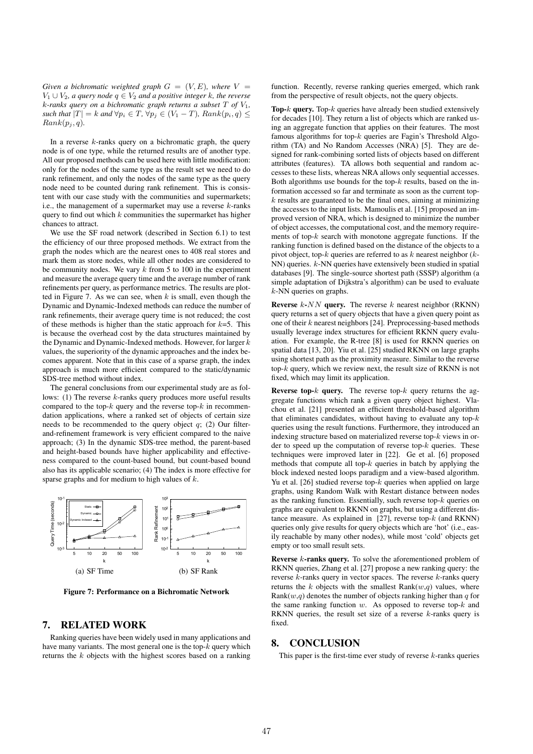*Given a bichromatic weighted graph*  $G = (V, E)$ *, where*  $V =$  $V_1$  ∪  $V_2$ *, a query node*  $q \in V_2$  *and a positive integer k, the reverse* k*-ranks query on a bichromatic graph returns a subset* T *of* V1*, such that*  $|T| = k$  *and*  $\forall p_i \in T$ ,  $\forall p_j \in (V_1 - T)$ *, Rank* $(p_i, q) \leq$  $Rank(p_i, q)$ .

In a reverse  $k$ -ranks query on a bichromatic graph, the query node is of one type, while the returned results are of another type. All our proposed methods can be used here with little modification: only for the nodes of the same type as the result set we need to do rank refinement, and only the nodes of the same type as the query node need to be counted during rank refinement. This is consistent with our case study with the communities and supermarkets; i.e., the management of a supermarket may use a reverse  $k$ -ranks query to find out which  $k$  communities the supermarket has higher chances to attract.

We use the SF road network (described in Section 6.1) to test the efficiency of our three proposed methods. We extract from the graph the nodes which are the nearest ones to 408 real stores and mark them as store nodes, while all other nodes are considered to be community nodes. We vary  $k$  from 5 to 100 in the experiment and measure the average query time and the average number of rank refinements per query, as performance metrics. The results are plotted in Figure 7. As we can see, when  $k$  is small, even though the Dynamic and Dynamic-Indexed methods can reduce the number of rank refinements, their average query time is not reduced; the cost of these methods is higher than the static approach for  $k=5$ . This is because the overhead cost by the data structures maintained by the Dynamic and Dynamic-Indexed methods. However, for larger  $k$ values, the superiority of the dynamic approaches and the index becomes apparent. Note that in this case of a sparse graph, the index approach is much more efficient compared to the static/dynamic SDS-tree method without index.

The general conclusions from our experimental study are as follows:  $(1)$  The reverse k-ranks query produces more useful results compared to the top- $k$  query and the reverse top- $k$  in recommendation applications, where a ranked set of objects of certain size needs to be recommended to the query object  $q$ ; (2) Our filterand-refinement framework is very efficient compared to the naive approach; (3) In the dynamic SDS-tree method, the parent-based and height-based bounds have higher applicability and effectiveness compared to the count-based bound, but count-based bound also has its applicable scenario; (4) The index is more effective for sparse graphs and for medium to high values of  $k$ .



Figure 7: Performance on a Bichromatic Network

## 7. RELATED WORK

Ranking queries have been widely used in many applications and have many variants. The most general one is the top- $k$  query which returns the k objects with the highest scores based on a ranking

function. Recently, reverse ranking queries emerged, which rank from the perspective of result objects, not the query objects.

**Top-** $k$  query. Top- $k$  queries have already been studied extensively for decades [10]. They return a list of objects which are ranked using an aggregate function that applies on their features. The most famous algorithms for top- $k$  queries are Fagin's Threshold Algorithm (TA) and No Random Accesses (NRA) [5]. They are designed for rank-combining sorted lists of objects based on different attributes (features). TA allows both sequential and random accesses to these lists, whereas NRA allows only sequential accesses. Both algorithms use bounds for the top- $k$  results, based on the information accessed so far and terminate as soon as the current top $k$  results are guaranteed to be the final ones, aiming at minimizing the accesses to the input lists. Mamoulis et al. [15] proposed an improved version of NRA, which is designed to minimize the number of object accesses, the computational cost, and the memory requirements of top- $k$  search with monotone aggregate functions. If the ranking function is defined based on the distance of the objects to a pivot object, top- $k$  queries are referred to as  $k$  nearest neighbor ( $k$ -NN) queries. k-NN queries have extensively been studied in spatial databases [9]. The single-source shortest path (SSSP) algorithm (a simple adaptation of Dijkstra's algorithm) can be used to evaluate k-NN queries on graphs.

Reverse  $k$ -NN query. The reverse  $k$  nearest neighbor (RKNN) query returns a set of query objects that have a given query point as one of their  $k$  nearest neighbors [24]. Preprocessing-based methods usually leverage index structures for efficient RKNN query evaluation. For example, the R-tree [8] is used for RKNN queries on spatial data [13, 20]. Yiu et al. [25] studied RKNN on large graphs using shortest path as the proximity measure. Similar to the reverse top- $k$  query, which we review next, the result size of RKNN is not fixed, which may limit its application.

**Reverse top-** $k$  query. The reverse top- $k$  query returns the aggregate functions which rank a given query object highest. Vlachou et al. [21] presented an efficient threshold-based algorithm that eliminates candidates, without having to evaluate any top- $k$ queries using the result functions. Furthermore, they introduced an indexing structure based on materialized reverse top- $k$  views in order to speed up the computation of reverse top- $k$  queries. These techniques were improved later in [22]. Ge et al. [6] proposed methods that compute all top- $k$  queries in batch by applying the block indexed nested loops paradigm and a view-based algorithm. Yu et al. [26] studied reverse top- $k$  queries when applied on large graphs, using Random Walk with Restart distance between nodes as the ranking function. Essentially, such reverse top- $k$  queries on graphs are equivalent to RKNN on graphs, but using a different distance measure. As explained in  $[27]$ , reverse top- $k$  (and RKNN) queries only give results for query objects which are 'hot' (i.e., easily reachable by many other nodes), while most 'cold' objects get empty or too small result sets.

**Reverse**  $k$ **-ranks query.** To solve the aforementioned problem of RKNN queries, Zhang et al. [27] propose a new ranking query: the reverse  $k$ -ranks query in vector spaces. The reverse  $k$ -ranks query returns the k objects with the smallest  $Rank(w,q)$  values, where Rank $(w,q)$  denotes the number of objects ranking higher than q for the same ranking function  $w$ . As opposed to reverse top- $k$  and RKNN queries, the result set size of a reverse  $k$ -ranks query is fixed.

## 8. CONCLUSION

This paper is the first-time ever study of reverse  $k$ -ranks queries